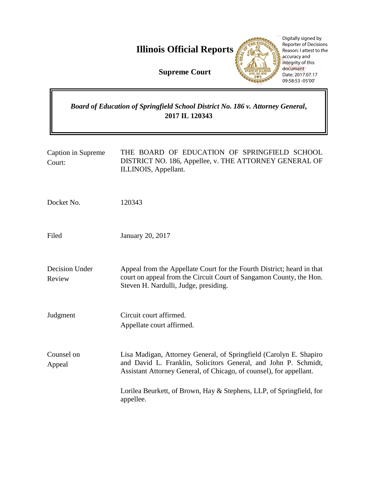**Illinois Official Reports** 

**Supreme Court**



Digitally signed by Reporter of Decisions Reason: I attest to the accuracy and integrity of this document Date: 2017.07.17 09:58:53 -05'00'

# *Board of Education of Springfield School District No. 186 v. Attorney General***, 2017 IL 120343**

| Caption in Supreme<br>Court: | THE BOARD OF EDUCATION OF SPRINGFIELD SCHOOL<br>DISTRICT NO. 186, Appellee, v. THE ATTORNEY GENERAL OF<br>ILLINOIS, Appellant.                                                                               |
|------------------------------|--------------------------------------------------------------------------------------------------------------------------------------------------------------------------------------------------------------|
| Docket No.                   | 120343                                                                                                                                                                                                       |
| Filed                        | <b>January 20, 2017</b>                                                                                                                                                                                      |
| Decision Under<br>Review     | Appeal from the Appellate Court for the Fourth District; heard in that<br>court on appeal from the Circuit Court of Sangamon County, the Hon.<br>Steven H. Nardulli, Judge, presiding.                       |
| Judgment                     | Circuit court affirmed.<br>Appellate court affirmed.                                                                                                                                                         |
| Counsel on<br>Appeal         | Lisa Madigan, Attorney General, of Springfield (Carolyn E. Shapiro<br>and David L. Franklin, Solicitors General, and John P. Schmidt,<br>Assistant Attorney General, of Chicago, of counsel), for appellant. |
|                              | Lorilea Beurkett, of Brown, Hay & Stephens, LLP, of Springfield, for<br>appellee.                                                                                                                            |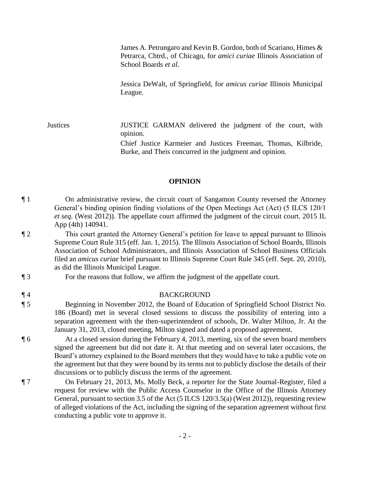James A. Petrungaro and Kevin B. Gordon, both of Scariano, Himes & Petrarca, Chtrd., of Chicago, for *amici curiae* Illinois Association of School Boards *et al.*

Jessica DeWalt, of Springfield, for *amicus curiae* Illinois Municipal League.

Justices JUSTICE GARMAN delivered the judgment of the court, with opinion. Chief Justice Karmeier and Justices Freeman, Thomas, Kilbride, Burke, and Theis concurred in the judgment and opinion.

#### **OPINION**

¶ 1 On administrative review, the circuit court of Sangamon County reversed the Attorney General's binding opinion finding violations of the Open Meetings Act (Act) (5 ILCS 120/1 *et seq.* (West 2012)). The appellate court affirmed the judgment of the circuit court. 2015 IL App (4th) 140941.

- ¶ 2 This court granted the Attorney General's petition for leave to appeal pursuant to Illinois Supreme Court Rule 315 (eff. Jan. 1, 2015). The Illinois Association of School Boards, Illinois Association of School Administrators, and Illinois Association of School Business Officials filed an *amicus curiae* brief pursuant to Illinois Supreme Court Rule 345 (eff. Sept. 20, 2010), as did the Illinois Municipal League.
- ¶ 3 For the reasons that follow, we affirm the judgment of the appellate court.
- ¶ 4 BACKGROUND

¶ 5 Beginning in November 2012, the Board of Education of Springfield School District No. 186 (Board) met in several closed sessions to discuss the possibility of entering into a separation agreement with the then-superintendent of schools, Dr. Walter Milton, Jr. At the January 31, 2013, closed meeting, Milton signed and dated a proposed agreement.

¶ 6 At a closed session during the February 4, 2013, meeting, six of the seven board members signed the agreement but did not date it. At that meeting and on several later occasions, the Board's attorney explained to the Board members that they would have to take a public vote on the agreement but that they were bound by its terms not to publicly disclose the details of their discussions or to publicly discuss the terms of the agreement.

¶ 7 On February 21, 2013, Ms. Molly Beck, a reporter for the State Journal-Register, filed a request for review with the Public Access Counselor in the Office of the Illinois Attorney General, pursuant to section 3.5 of the Act (5 ILCS 120/3.5(a) (West 2012)), requesting review of alleged violations of the Act, including the signing of the separation agreement without first conducting a public vote to approve it.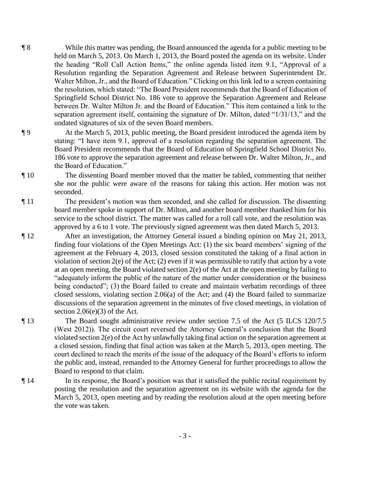- ¶ 8 While this matter was pending, the Board announced the agenda for a public meeting to be held on March 5, 2013. On March 1, 2013, the Board posted the agenda on its website. Under the heading "Roll Call Action Items," the online agenda listed item 9.1, "Approval of a Resolution regarding the Separation Agreement and Release between Superintendent Dr. Walter Milton, Jr., and the Board of Education." Clicking on this link led to a screen containing the resolution, which stated: "The Board President recommends that the Board of Education of Springfield School District No. 186 vote to approve the Separation Agreement and Release between Dr. Walter Milton Jr. and the Board of Education." This item contained a link to the separation agreement itself, containing the signature of Dr. Milton, dated "1/31/13," and the undated signatures of six of the seven Board members.
- ¶ 9 At the March 5, 2013, public meeting, the Board president introduced the agenda item by stating: "I have item 9.1, approval of a resolution regarding the separation agreement. The Board President recommends that the Board of Education of Springfield School District No. 186 vote to approve the separation agreement and release between Dr. Walter Milton, Jr., and the Board of Education."
- ¶ 10 The dissenting Board member moved that the matter be tabled, commenting that neither she nor the public were aware of the reasons for taking this action. Her motion was not seconded.
- ¶ 11 The president's motion was then seconded, and she called for discussion. The dissenting board member spoke in support of Dr. Milton, and another board member thanked him for his service to the school district. The matter was called for a roll call vote, and the resolution was approved by a 6 to 1 vote. The previously signed agreement was then dated March 5, 2013.
- ¶ 12 After an investigation, the Attorney General issued a binding opinion on May 21, 2013, finding four violations of the Open Meetings Act: (1) the six board members' signing of the agreement at the February 4, 2013, closed session constituted the taking of a final action in violation of section 2(e) of the Act; (2) even if it was permissible to ratify that action by a vote at an open meeting, the Board violated section 2(e) of the Act at the open meeting by failing to "adequately inform the public of the nature of the matter under consideration or the business being conducted"; (3) the Board failed to create and maintain verbatim recordings of three closed sessions, violating section 2.06(a) of the Act; and (4) the Board failed to summarize discussions of the separation agreement in the minutes of five closed meetings, in violation of section  $2.06(e)(3)$  of the Act.
- ¶ 13 The Board sought administrative review under section 7.5 of the Act (5 ILCS 120/7.5 (West 2012)). The circuit court reversed the Attorney General's conclusion that the Board violated section 2(e) of the Act by unlawfully taking final action on the separation agreement at a closed session, finding that final action was taken at the March 5, 2013, open meeting. The court declined to reach the merits of the issue of the adequacy of the Board's efforts to inform the public and, instead, remanded to the Attorney General for further proceedings to allow the Board to respond to that claim.
- ¶ 14 In its response, the Board's position was that it satisfied the public recital requirement by posting the resolution and the separation agreement on its website with the agenda for the March 5, 2013, open meeting and by reading the resolution aloud at the open meeting before the vote was taken.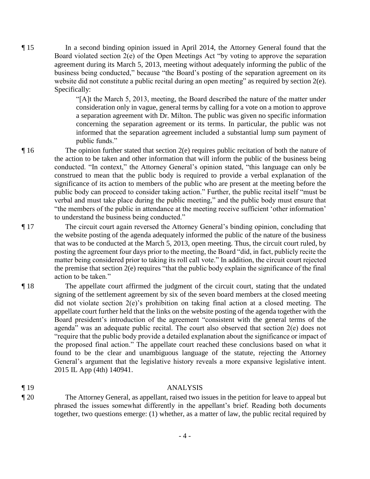¶ 15 In a second binding opinion issued in April 2014, the Attorney General found that the Board violated section 2(e) of the Open Meetings Act "by voting to approve the separation agreement during its March 5, 2013, meeting without adequately informing the public of the business being conducted," because "the Board's posting of the separation agreement on its website did not constitute a public recital during an open meeting" as required by section 2(e). Specifically:

> "[A]t the March 5, 2013, meeting, the Board described the nature of the matter under consideration only in vague, general terms by calling for a vote on a motion to approve a separation agreement with Dr. Milton. The public was given no specific information concerning the separation agreement or its terms. In particular, the public was not informed that the separation agreement included a substantial lump sum payment of public funds."

- ¶ 16 The opinion further stated that section 2(e) requires public recitation of both the nature of the action to be taken and other information that will inform the public of the business being conducted. "In context," the Attorney General's opinion stated, "this language can only be construed to mean that the public body is required to provide a verbal explanation of the significance of its action to members of the public who are present at the meeting before the public body can proceed to consider taking action." Further, the public recital itself "must be verbal and must take place during the public meeting," and the public body must ensure that "the members of the public in attendance at the meeting receive sufficient 'other information' to understand the business being conducted."
- ¶ 17 The circuit court again reversed the Attorney General's binding opinion, concluding that the website posting of the agenda adequately informed the public of the nature of the business that was to be conducted at the March 5, 2013, open meeting. Thus, the circuit court ruled, by posting the agreement four days prior to the meeting, the Board "did, in fact, publicly recite the matter being considered prior to taking its roll call vote." In addition, the circuit court rejected the premise that section 2(e) requires "that the public body explain the significance of the final action to be taken."
- ¶ 18 The appellate court affirmed the judgment of the circuit court, stating that the undated signing of the settlement agreement by six of the seven board members at the closed meeting did not violate section 2(e)'s prohibition on taking final action at a closed meeting. The appellate court further held that the links on the website posting of the agenda together with the Board president's introduction of the agreement "consistent with the general terms of the agenda" was an adequate public recital. The court also observed that section 2(e) does not "require that the public body provide a detailed explanation about the significance or impact of the proposed final action." The appellate court reached these conclusions based on what it found to be the clear and unambiguous language of the statute, rejecting the Attorney General's argument that the legislative history reveals a more expansive legislative intent. 2015 IL App (4th) 140941.

## ¶ 19 ANALYSIS

¶ 20 The Attorney General, as appellant, raised two issues in the petition for leave to appeal but phrased the issues somewhat differently in the appellant's brief. Reading both documents together, two questions emerge: (1) whether, as a matter of law, the public recital required by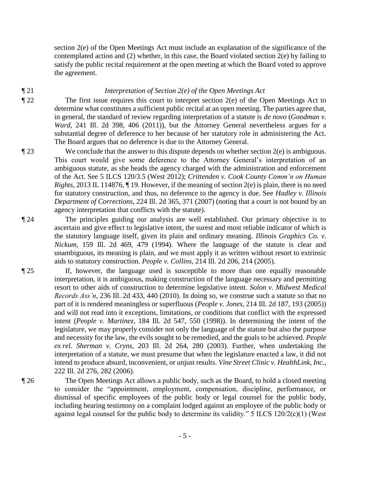section 2(e) of the Open Meetings Act must include an explanation of the significance of the contemplated action and  $(2)$  whether, in this case, the Board violated section  $2(e)$  by failing to satisfy the public recital requirement at the open meeting at which the Board voted to approve the agreement.

## ¶ 21 *Interpretation of Section 2(e) of the Open Meetings Act*

- ¶ 22 The first issue requires this court to interpret section 2(e) of the Open Meetings Act to determine what constitutes a sufficient public recital at an open meeting. The parties agree that, in general, the standard of review regarding interpretation of a statute is *de novo* (*Goodman v. Ward*, 241 Ill. 2d 398, 406 (2011)), but the Attorney General nevertheless argues for a substantial degree of deference to her because of her statutory role in administering the Act. The Board argues that no deference is due to the Attorney General.
- $\P$  23 We conclude that the answer to this dispute depends on whether section  $2(e)$  is ambiguous. This court would give some deference to the Attorney General's interpretation of an ambiguous statute, as she heads the agency charged with the administration and enforcement of the Act. See 5 ILCS 120/3.5 (West 2012); *Crittenden v. Cook County Comm'n on Human Rights*, 2013 IL 114876, ¶ 19. However, if the meaning of section 2(e) is plain, there is no need for statutory construction, and thus, no deference to the agency is due. See *Hadley v. Illinois Department of Corrections*, 224 Ill. 2d 365, 371 (2007) (noting that a court is not bound by an agency interpretation that conflicts with the statute).
- ¶ 24 The principles guiding our analysis are well established. Our primary objective is to ascertain and give effect to legislative intent, the surest and most reliable indicator of which is the statutory language itself, given its plain and ordinary meaning. *Illinois Graphics Co. v. Nickum*, 159 Ill. 2d 469, 479 (1994). Where the language of the statute is clear and unambiguous, its meaning is plain, and we must apply it as written without resort to extrinsic aids to statutory construction. *People v. Collins*, 214 Ill. 2d 206, 214 (2005).
- ¶ 25 If, however, the language used is susceptible to more than one equally reasonable interpretation, it is ambiguous, making construction of the language necessary and permitting resort to other aids of construction to determine legislative intent. *Solon v. Midwest Medical Records Ass'n*, 236 Ill. 2d 433, 440 (2010). In doing so, we construe such a statute so that no part of it is rendered meaningless or superfluous (*People v. Jones*, 214 Ill. 2d 187, 193 (2005)) and will not read into it exceptions, limitations, or conditions that conflict with the expressed intent (*People v. Martinez*, 184 Ill. 2d 547, 550 (1998)). In determining the intent of the legislature, we may properly consider not only the language of the statute but also the purpose and necessity for the law, the evils sought to be remedied, and the goals to be achieved. *People ex rel. Sherman v. Cryns*, 203 Ill. 2d 264, 280 (2003). Further, when undertaking the interpretation of a statute, we must presume that when the legislature enacted a law, it did not intend to produce absurd, inconvenient, or unjust results. *Vine Street Clinic v. HealthLink, Inc.*, 222 Ill. 2d 276, 282 (2006).

¶ 26 The Open Meetings Act allows a public body, such as the Board, to hold a closed meeting to consider the "appointment, employment, compensation, discipline, performance, or dismissal of specific employees of the public body or legal counsel for the public body, including hearing testimony on a complaint lodged against an employee of the public body or

against legal counsel for the public body to determine its validity."  $5$  ILCS  $120/2(c)(1)$  (West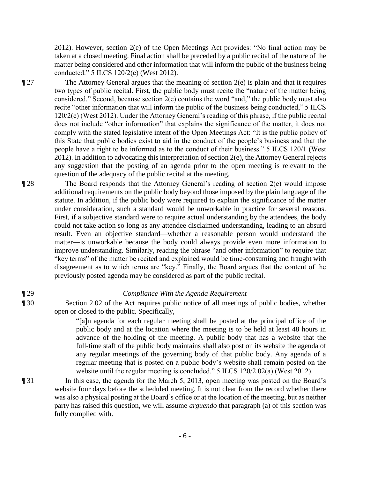2012). However, section 2(e) of the Open Meetings Act provides: "No final action may be taken at a closed meeting. Final action shall be preceded by a public recital of the nature of the matter being considered and other information that will inform the public of the business being conducted." 5 ILCS 120/2(e) (West 2012).

 $\P$  27 The Attorney General argues that the meaning of section 2(e) is plain and that it requires two types of public recital. First, the public body must recite the "nature of the matter being considered." Second, because section 2(e) contains the word "and," the public body must also recite "other information that will inform the public of the business being conducted," 5 ILCS 120/2(e) (West 2012). Under the Attorney General's reading of this phrase, if the public recital does not include "other information" that explains the significance of the matter, it does not comply with the stated legislative intent of the Open Meetings Act: "It is the public policy of this State that public bodies exist to aid in the conduct of the people's business and that the people have a right to be informed as to the conduct of their business." 5 ILCS 120/1 (West 2012). In addition to advocating this interpretation of section 2(e), the Attorney General rejects any suggestion that the posting of an agenda prior to the open meeting is relevant to the question of the adequacy of the public recital at the meeting.

¶ 28 The Board responds that the Attorney General's reading of section 2(e) would impose additional requirements on the public body beyond those imposed by the plain language of the statute. In addition, if the public body were required to explain the significance of the matter under consideration, such a standard would be unworkable in practice for several reasons. First, if a subjective standard were to require actual understanding by the attendees, the body could not take action so long as any attendee disclaimed understanding, leading to an absurd result. Even an objective standard—whether a reasonable person would understand the matter—is unworkable because the body could always provide even more information to improve understanding. Similarly, reading the phrase "and other information" to require that "key terms" of the matter be recited and explained would be time-consuming and fraught with disagreement as to which terms are "key." Finally, the Board argues that the content of the previously posted agenda may be considered as part of the public recital.

- 
- 

## ¶ 29 *Compliance With the Agenda Requirement*

¶ 30 Section 2.02 of the Act requires public notice of all meetings of public bodies, whether open or closed to the public. Specifically,

> "[a]n agenda for each regular meeting shall be posted at the principal office of the public body and at the location where the meeting is to be held at least 48 hours in advance of the holding of the meeting. A public body that has a website that the full-time staff of the public body maintains shall also post on its website the agenda of any regular meetings of the governing body of that public body. Any agenda of a regular meeting that is posted on a public body's website shall remain posted on the website until the regular meeting is concluded." 5 ILCS 120/2.02(a) (West 2012).

¶ 31 In this case, the agenda for the March 5, 2013, open meeting was posted on the Board's website four days before the scheduled meeting. It is not clear from the record whether there was also a physical posting at the Board's office or at the location of the meeting, but as neither party has raised this question, we will assume *arguendo* that paragraph (a) of this section was fully complied with.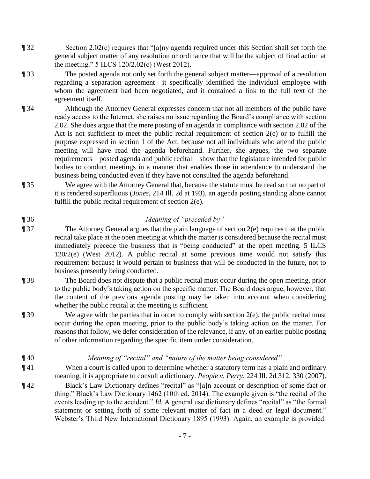- ¶ 32 Section 2.02(c) requires that "[a]ny agenda required under this Section shall set forth the general subject matter of any resolution or ordinance that will be the subject of final action at the meeting." 5 ILCS 120/2.02(c) (West 2012).
- ¶ 33 The posted agenda not only set forth the general subject matter—approval of a resolution regarding a separation agreement—it specifically identified the individual employee with whom the agreement had been negotiated, and it contained a link to the full text of the agreement itself.
- ¶ 34 Although the Attorney General expresses concern that not all members of the public have ready access to the Internet, she raises no issue regarding the Board's compliance with section 2.02. She does argue that the mere posting of an agenda in compliance with section 2.02 of the Act is not sufficient to meet the public recital requirement of section 2(e) or to fulfill the purpose expressed in section 1 of the Act, because not all individuals who attend the public meeting will have read the agenda beforehand. Further, she argues, the two separate requirements—posted agenda and public recital—show that the legislature intended for public bodies to conduct meetings in a manner that enables those in attendance to understand the business being conducted even if they have not consulted the agenda beforehand.
- ¶ 35 We agree with the Attorney General that, because the statute must be read so that no part of it is rendered superfluous (*Jones*, 214 Ill. 2d at 193), an agenda posting standing alone cannot fulfill the public recital requirement of section 2(e).
- ¶ 36 *Meaning of "preceded by"*
- ¶ 37 The Attorney General argues that the plain language of section 2(e) requires that the public recital take place at the open meeting at which the matter is considered because the recital must immediately precede the business that is "being conducted" at the open meeting. 5 ILCS  $120/2(e)$  (West 2012). A public recital at some previous time would not satisfy this requirement because it would pertain to business that will be conducted in the future, not to business presently being conducted.
- ¶ 38 The Board does not dispute that a public recital must occur during the open meeting, prior to the public body's taking action on the specific matter. The Board does argue, however, that the content of the previous agenda posting may be taken into account when considering whether the public recital at the meeting is sufficient.
- $\P$  39 We agree with the parties that in order to comply with section 2(e), the public recital must occur during the open meeting, prior to the public body's taking action on the matter. For reasons that follow, we defer consideration of the relevance, if any, of an earlier public posting of other information regarding the specific item under consideration.
- ¶ 40 *Meaning of "recital" and "nature of the matter being considered"*
- ¶ 41 When a court is called upon to determine whether a statutory term has a plain and ordinary meaning, it is appropriate to consult a dictionary. *People v. Perry*, 224 Ill. 2d 312, 330 (2007).
- ¶ 42 Black's Law Dictionary defines "recital" as "[a]n account or description of some fact or thing." Black's Law Dictionary 1462 (10th ed. 2014). The example given is "the recital of the events leading up to the accident." *Id.* A general use dictionary defines "recital" as "the formal statement or setting forth of some relevant matter of fact in a deed or legal document." Webster's Third New International Dictionary 1895 (1993). Again, an example is provided: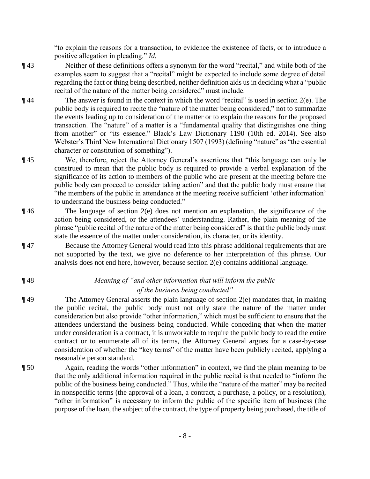"to explain the reasons for a transaction, to evidence the existence of facts, or to introduce a positive allegation in pleading." *Id.*

- ¶ 43 Neither of these definitions offers a synonym for the word "recital," and while both of the examples seem to suggest that a "recital" might be expected to include some degree of detail regarding the fact or thing being described, neither definition aids us in deciding what a "public recital of the nature of the matter being considered" must include.
- $\P$ 44 The answer is found in the context in which the word "recital" is used in section  $2(e)$ . The public body is required to recite the "nature of the matter being considered," not to summarize the events leading up to consideration of the matter or to explain the reasons for the proposed transaction. The "nature" of a matter is a "fundamental quality that distinguishes one thing from another" or "its essence." Black's Law Dictionary 1190 (10th ed. 2014). See also Webster's Third New International Dictionary 1507 (1993) (defining "nature" as "the essential character or constitution of something").
- ¶ 45 We, therefore, reject the Attorney General's assertions that "this language can only be construed to mean that the public body is required to provide a verbal explanation of the significance of its action to members of the public who are present at the meeting before the public body can proceed to consider taking action" and that the public body must ensure that "the members of the public in attendance at the meeting receive sufficient 'other information' to understand the business being conducted."
- ¶ 46 The language of section 2(e) does not mention an explanation, the significance of the action being considered, or the attendees' understanding. Rather, the plain meaning of the phrase "public recital of the nature of the matter being considered" is that the public body must state the essence of the matter under consideration, its character, or its identity.
- ¶ 47 Because the Attorney General would read into this phrase additional requirements that are not supported by the text, we give no deference to her interpretation of this phrase. Our analysis does not end here, however, because section 2(e) contains additional language.
- 
- 

## ¶ 48 *Meaning of "and other information that will inform the public of the business being conducted"*

- $\P$ 49 The Attorney General asserts the plain language of section 2(e) mandates that, in making the public recital, the public body must not only state the nature of the matter under consideration but also provide "other information," which must be sufficient to ensure that the attendees understand the business being conducted. While conceding that when the matter under consideration is a contract, it is unworkable to require the public body to read the entire contract or to enumerate all of its terms, the Attorney General argues for a case-by-case consideration of whether the "key terms" of the matter have been publicly recited, applying a reasonable person standard.
- ¶ 50 Again, reading the words "other information" in context, we find the plain meaning to be that the only additional information required in the public recital is that needed to "inform the public of the business being conducted." Thus, while the "nature of the matter" may be recited in nonspecific terms (the approval of a loan, a contract, a purchase, a policy, or a resolution), "other information" is necessary to inform the public of the specific item of business (the purpose of the loan, the subject of the contract, the type of property being purchased, the title of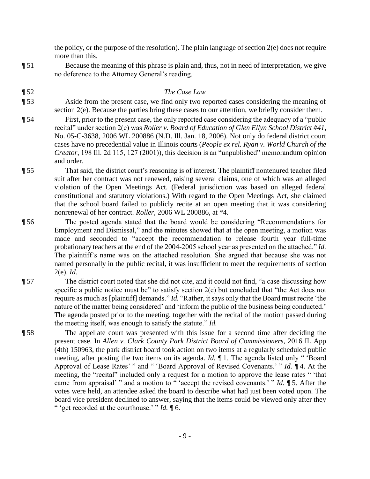the policy, or the purpose of the resolution). The plain language of section 2(e) does not require more than this.

¶ 51 Because the meaning of this phrase is plain and, thus, not in need of interpretation, we give no deference to the Attorney General's reading.

## ¶ 52 *The Case Law*

- ¶ 53 Aside from the present case, we find only two reported cases considering the meaning of section 2(e). Because the parties bring these cases to our attention, we briefly consider them.
- ¶ 54 First, prior to the present case, the only reported case considering the adequacy of a "public recital" under section 2(e) was *Roller v. Board of Education of Glen Ellyn School District #41*, No. 05-C-3638, 2006 WL 200886 (N.D. Ill. Jan. 18, 2006). Not only do federal district court cases have no precedential value in Illinois courts (*People ex rel. Ryan v. World Church of the Creator*, 198 Ill. 2d 115, 127 (2001)), this decision is an "unpublished" memorandum opinion and order.
- ¶ 55 That said, the district court's reasoning is of interest. The plaintiff nontenured teacher filed suit after her contract was not renewed, raising several claims, one of which was an alleged violation of the Open Meetings Act. (Federal jurisdiction was based on alleged federal constitutional and statutory violations.) With regard to the Open Meetings Act, she claimed that the school board failed to publicly recite at an open meeting that it was considering nonrenewal of her contract. *Roller*, 2006 WL 200886, at \*4.
- ¶ 56 The posted agenda stated that the board would be considering "Recommendations for Employment and Dismissal," and the minutes showed that at the open meeting, a motion was made and seconded to "accept the recommendation to release fourth year full-time probationary teachers at the end of the 2004-2005 school year as presented on the attached." *Id.* The plaintiff's name was on the attached resolution. She argued that because she was not named personally in the public recital, it was insufficient to meet the requirements of section 2(e). *Id.*

¶ 57 The district court noted that she did not cite, and it could not find, "a case discussing how specific a public notice must be" to satisfy section 2(e) but concluded that "the Act does not require as much as [plaintiff] demands." *Id.* "Rather, it says only that the Board must recite 'the nature of the matter being considered' and 'inform the public of the business being conducted.' The agenda posted prior to the meeting, together with the recital of the motion passed during the meeting itself, was enough to satisfy the statute." *Id.*

¶ 58 The appellate court was presented with this issue for a second time after deciding the present case. In *Allen v. Clark County Park District Board of Commissioners*, 2016 IL App (4th) 150963, the park district board took action on two items at a regularly scheduled public meeting, after posting the two items on its agenda. *Id.* ¶ 1. The agenda listed only " 'Board Approval of Lease Rates' " and " 'Board Approval of Revised Covenants.' " *Id.* ¶ 4. At the meeting, the "recital" included only a request for a motion to approve the lease rates " 'that came from appraisal' " and a motion to " 'accept the revised covenants.' " *Id.* ¶ 5. After the votes were held, an attendee asked the board to describe what had just been voted upon. The board vice president declined to answer, saying that the items could be viewed only after they " 'get recorded at the courthouse.' " *Id.* ¶ 6.

- 9 -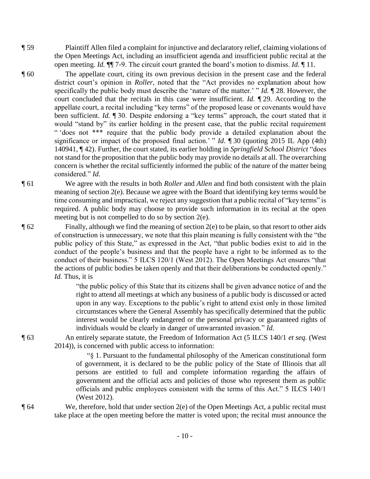- ¶ 59 Plaintiff Allen filed a complaint for injunctive and declaratory relief, claiming violations of the Open Meetings Act, including an insufficient agenda and insufficient public recital at the open meeting. *Id.* ¶¶ 7-9. The circuit court granted the board's motion to dismiss. *Id.* ¶ 11.
- ¶ 60 The appellate court, citing its own previous decision in the present case and the federal district court's opinion in *Roller*, noted that the "Act provides no explanation about how specifically the public body must describe the 'nature of the matter.' " *Id.* ¶ 28. However, the court concluded that the recitals in this case were insufficient. *Id.* ¶ 29. According to the appellate court, a recital including "key terms" of the proposed lease or covenants would have been sufficient. *Id.* ¶ 30. Despite endorsing a "key terms" approach, the court stated that it would "stand by" its earlier holding in the present case, that the public recital requirement " 'does not \*\*\* require that the public body provide a detailed explanation about the significance or impact of the proposed final action.' " *Id.* ¶ 30 (quoting 2015 IL App (4th) 140941, ¶ 42). Further, the court stated, its earlier holding in *Springfield School District* "does not stand for the proposition that the public body may provide no details at all. The overarching concern is whether the recital sufficiently informed the public of the nature of the matter being considered." *Id.*
- ¶ 61 We agree with the results in both *Roller* and *Allen* and find both consistent with the plain meaning of section 2(e). Because we agree with the Board that identifying key terms would be time consuming and impractical, we reject any suggestion that a public recital of "key terms" is required. A public body may choose to provide such information in its recital at the open meeting but is not compelled to do so by section 2(e).
- ¶ 62 Finally, although we find the meaning of section 2(e) to be plain, so that resort to other aids of construction is unnecessary, we note that this plain meaning is fully consistent with the "the public policy of this State," as expressed in the Act, "that public bodies exist to aid in the conduct of the people's business and that the people have a right to be informed as to the conduct of their business." 5 ILCS 120/1 (West 2012). The Open Meetings Act ensures "that the actions of public bodies be taken openly and that their deliberations be conducted openly." *Id.* Thus, it is

"the public policy of this State that its citizens shall be given advance notice of and the right to attend all meetings at which any business of a public body is discussed or acted upon in any way. Exceptions to the public's right to attend exist only in those limited circumstances where the General Assembly has specifically determined that the public interest would be clearly endangered or the personal privacy or guaranteed rights of individuals would be clearly in danger of unwarranted invasion." *Id.*

¶ 63 An entirely separate statute, the Freedom of Information Act (5 ILCS 140/1 *et seq.* (West 2014)), is concerned with public access to information:

> "§ 1. Pursuant to the fundamental philosophy of the American constitutional form of government, it is declared to be the public policy of the State of Illinois that all persons are entitled to full and complete information regarding the affairs of government and the official acts and policies of those who represent them as public officials and public employees consistent with the terms of this Act." 5 ILCS 140/1 (West 2012).

 $\P$  64 We, therefore, hold that under section 2(e) of the Open Meetings Act, a public recital must take place at the open meeting before the matter is voted upon; the recital must announce the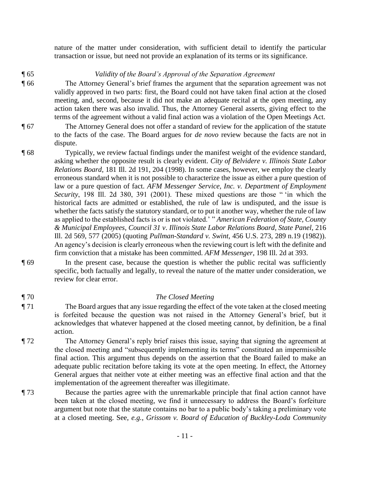nature of the matter under consideration, with sufficient detail to identify the particular transaction or issue, but need not provide an explanation of its terms or its significance.

## ¶ 65 *Validity of the Board's Approval of the Separation Agreement*

¶ 66 The Attorney General's brief frames the argument that the separation agreement was not validly approved in two parts: first, the Board could not have taken final action at the closed meeting, and, second, because it did not make an adequate recital at the open meeting, any action taken there was also invalid. Thus, the Attorney General asserts, giving effect to the terms of the agreement without a valid final action was a violation of the Open Meetings Act.

- ¶ 67 The Attorney General does not offer a standard of review for the application of the statute to the facts of the case. The Board argues for *de novo* review because the facts are not in dispute.
- ¶ 68 Typically, we review factual findings under the manifest weight of the evidence standard, asking whether the opposite result is clearly evident. *City of Belvidere v. Illinois State Labor Relations Board*, 181 Ill. 2d 191, 204 (1998). In some cases, however, we employ the clearly erroneous standard when it is not possible to characterize the issue as either a pure question of law or a pure question of fact. AFM Messenger Service, Inc. v. Department of Employment *Security*, 198 Ill. 2d 380, 391 (2001). These mixed questions are those " 'in which the historical facts are admitted or established, the rule of law is undisputed, and the issue is whether the facts satisfy the statutory standard, or to put it another way, whether the rule of law as applied to the established facts is or is not violated.' " *American Federation of State, County & Municipal Employees, Council 31 v*. *Illinois State Labor Relations Board, State Panel*, 216 Ill. 2d 569, 577 (2005) (quoting *Pullman-Standard v. Swint*, 456 U.S. 273, 289 n.19 (1982)). An agency's decision is clearly erroneous when the reviewing court is left with the definite and firm conviction that a mistake has been committed. *AFM Messenger*, 198 Ill. 2d at 393.
- ¶ 69 In the present case, because the question is whether the public recital was sufficiently specific, both factually and legally, to reveal the nature of the matter under consideration, we review for clear error.

## ¶ 70 *The Closed Meeting*

- ¶ 71 The Board argues that any issue regarding the effect of the vote taken at the closed meeting is forfeited because the question was not raised in the Attorney General's brief, but it acknowledges that whatever happened at the closed meeting cannot, by definition, be a final action.
- ¶ 72 The Attorney General's reply brief raises this issue, saying that signing the agreement at the closed meeting and "subsequently implementing its terms" constituted an impermissible final action. This argument thus depends on the assertion that the Board failed to make an adequate public recitation before taking its vote at the open meeting. In effect, the Attorney General argues that neither vote at either meeting was an effective final action and that the implementation of the agreement thereafter was illegitimate.
- ¶ 73 Because the parties agree with the unremarkable principle that final action cannot have been taken at the closed meeting, we find it unnecessary to address the Board's forfeiture argument but note that the statute contains no bar to a public body's taking a preliminary vote at a closed meeting. See, *e.g.*, *Grissom v. Board of Education of Buckley-Loda Community*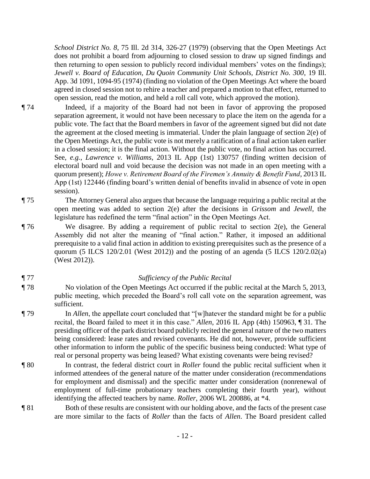*School District No. 8*, 75 Ill. 2d 314, 326-27 (1979) (observing that the Open Meetings Act does not prohibit a board from adjourning to closed session to draw up signed findings and then returning to open session to publicly record individual members' votes on the findings); *Jewell v. Board of Education, Du Quoin Community Unit Schools, District No. 300*, 19 Ill. App. 3d 1091, 1094-95 (1974) (finding no violation of the Open Meetings Act where the board agreed in closed session not to rehire a teacher and prepared a motion to that effect, returned to open session, read the motion, and held a roll call vote, which approved the motion).

- ¶ 74 Indeed, if a majority of the Board had not been in favor of approving the proposed separation agreement, it would not have been necessary to place the item on the agenda for a public vote. The fact that the Board members in favor of the agreement signed but did not date the agreement at the closed meeting is immaterial. Under the plain language of section 2(e) of the Open Meetings Act, the public vote is not merely a ratification of a final action taken earlier in a closed session; it is the final action. Without the public vote, no final action has occurred. See, *e.g.*, *Lawrence v. Williams*, 2013 IL App (1st) 130757 (finding written decision of electoral board null and void because the decision was not made in an open meeting with a quorum present); *Howe v. Retirement Board of the Firemen's Annuity & Benefit Fund*, 2013 IL App (1st) 122446 (finding board's written denial of benefits invalid in absence of vote in open session).
- ¶ 75 The Attorney General also argues that because the language requiring a public recital at the open meeting was added to section 2(e) after the decisions in *Grissom* and *Jewell*, the legislature has redefined the term "final action" in the Open Meetings Act.
- ¶ 76 We disagree. By adding a requirement of public recital to section 2(e), the General Assembly did not alter the meaning of "final action." Rather, it imposed an additional prerequisite to a valid final action in addition to existing prerequisites such as the presence of a quorum (5 ILCS 120/2.01 (West 2012)) and the posting of an agenda (5 ILCS 120/2.02(a) (West 2012)).

### ¶ 77 *Sufficiency of the Public Recital*

- ¶ 78 No violation of the Open Meetings Act occurred if the public recital at the March 5, 2013, public meeting, which preceded the Board's roll call vote on the separation agreement, was sufficient.
- ¶ 79 In *Allen*, the appellate court concluded that "[w]hatever the standard might be for a public recital, the Board failed to meet it in this case." *Allen*, 2016 IL App (4th) 150963, ¶ 31. The presiding officer of the park district board publicly recited the general nature of the two matters being considered: lease rates and revised covenants. He did not, however, provide sufficient other information to inform the public of the specific business being conducted: What type of real or personal property was being leased? What existing covenants were being revised?
- ¶ 80 In contrast, the federal district court in *Roller* found the public recital sufficient when it informed attendees of the general nature of the matter under consideration (recommendations for employment and dismissal) and the specific matter under consideration (nonrenewal of employment of full-time probationary teachers completing their fourth year), without identifying the affected teachers by name. *Roller*, 2006 WL 200886, at \*4.
- ¶ 81 Both of these results are consistent with our holding above, and the facts of the present case are more similar to the facts of *Roller* than the facts of *Allen*. The Board president called
	- 12 -